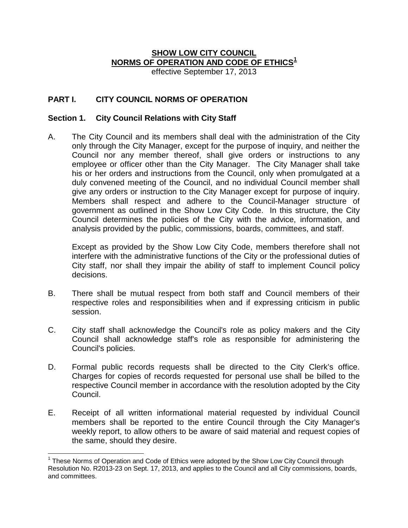# **SHOW LOW CITY COUNCIL NORMS OF OPERATION AND CODE OF ETHICS[1](#page-0-0)**

effective September 17, 2013

### **PART I. CITY COUNCIL NORMS OF OPERATION**

#### **Section 1. City Council Relations with City Staff**

A. The City Council and its members shall deal with the administration of the City only through the City Manager, except for the purpose of inquiry, and neither the Council nor any member thereof, shall give orders or instructions to any employee or officer other than the City Manager. The City Manager shall take his or her orders and instructions from the Council, only when promulgated at a duly convened meeting of the Council, and no individual Council member shall give any orders or instruction to the City Manager except for purpose of inquiry. Members shall respect and adhere to the Council-Manager structure of government as outlined in the Show Low City Code. In this structure, the City Council determines the policies of the City with the advice, information, and analysis provided by the public, commissions, boards, committees, and staff.

Except as provided by the Show Low City Code, members therefore shall not interfere with the administrative functions of the City or the professional duties of City staff, nor shall they impair the ability of staff to implement Council policy decisions.

- B. There shall be mutual respect from both staff and Council members of their respective roles and responsibilities when and if expressing criticism in public session.
- C. City staff shall acknowledge the Council's role as policy makers and the City Council shall acknowledge staff's role as responsible for administering the Council's policies.
- D. Formal public records requests shall be directed to the City Clerk's office. Charges for copies of records requested for personal use shall be billed to the respective Council member in accordance with the resolution adopted by the City Council.
- E. Receipt of all written informational material requested by individual Council members shall be reported to the entire Council through the City Manager's weekly report, to allow others to be aware of said material and request copies of the same, should they desire.

<span id="page-0-0"></span> $1$  These Norms of Operation and Code of Ethics were adopted by the Show Low City Council through Resolution No. R2013-23 on Sept. 17, 2013, and applies to the Council and all City commissions, boards, and committees.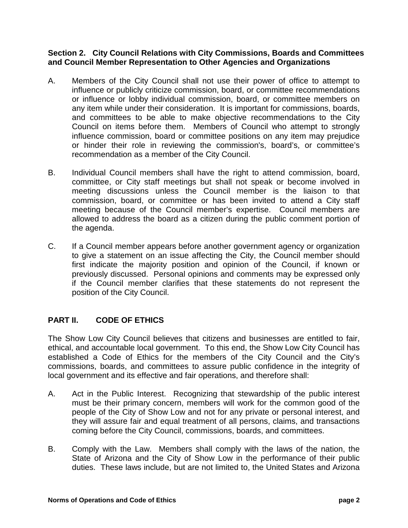#### **Section 2. City Council Relations with City Commissions, Boards and Committees and Council Member Representation to Other Agencies and Organizations**

- A. Members of the City Council shall not use their power of office to attempt to influence or publicly criticize commission, board, or committee recommendations or influence or lobby individual commission, board, or committee members on any item while under their consideration. It is important for commissions, boards, and committees to be able to make objective recommendations to the City Council on items before them. Members of Council who attempt to strongly influence commission, board or committee positions on any item may prejudice or hinder their role in reviewing the commission's, board's, or committee's recommendation as a member of the City Council.
- B. Individual Council members shall have the right to attend commission, board, committee, or City staff meetings but shall not speak or become involved in meeting discussions unless the Council member is the liaison to that commission, board, or committee or has been invited to attend a City staff meeting because of the Council member's expertise. Council members are allowed to address the board as a citizen during the public comment portion of the agenda.
- C. If a Council member appears before another government agency or organization to give a statement on an issue affecting the City, the Council member should first indicate the majority position and opinion of the Council, if known or previously discussed. Personal opinions and comments may be expressed only if the Council member clarifies that these statements do not represent the position of the City Council.

## **PART II. CODE OF ETHICS**

The Show Low City Council believes that citizens and businesses are entitled to fair, ethical, and accountable local government. To this end, the Show Low City Council has established a Code of Ethics for the members of the City Council and the City's commissions, boards, and committees to assure public confidence in the integrity of local government and its effective and fair operations, and therefore shall:

- A. Act in the Public Interest. Recognizing that stewardship of the public interest must be their primary concern, members will work for the common good of the people of the City of Show Low and not for any private or personal interest, and they will assure fair and equal treatment of all persons, claims, and transactions coming before the City Council, commissions, boards, and committees.
- B. Comply with the Law. Members shall comply with the laws of the nation, the State of Arizona and the City of Show Low in the performance of their public duties. These laws include, but are not limited to, the United States and Arizona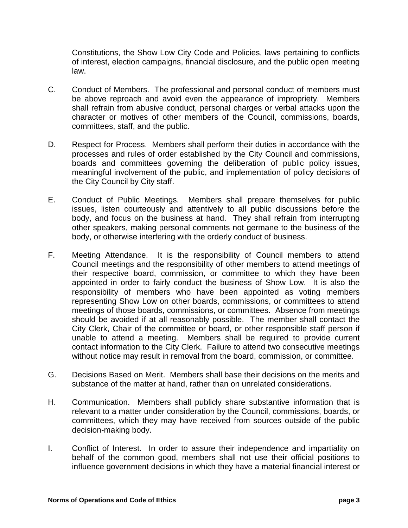Constitutions, the Show Low City Code and Policies, laws pertaining to conflicts of interest, election campaigns, financial disclosure, and the public open meeting law.

- C. Conduct of Members. The professional and personal conduct of members must be above reproach and avoid even the appearance of impropriety. Members shall refrain from abusive conduct, personal charges or verbal attacks upon the character or motives of other members of the Council, commissions, boards, committees, staff, and the public.
- D. Respect for Process. Members shall perform their duties in accordance with the processes and rules of order established by the City Council and commissions, boards and committees governing the deliberation of public policy issues, meaningful involvement of the public, and implementation of policy decisions of the City Council by City staff.
- E. Conduct of Public Meetings. Members shall prepare themselves for public issues, listen courteously and attentively to all public discussions before the body, and focus on the business at hand. They shall refrain from interrupting other speakers, making personal comments not germane to the business of the body, or otherwise interfering with the orderly conduct of business.
- F. Meeting Attendance. It is the responsibility of Council members to attend Council meetings and the responsibility of other members to attend meetings of their respective board, commission, or committee to which they have been appointed in order to fairly conduct the business of Show Low. It is also the responsibility of members who have been appointed as voting members representing Show Low on other boards, commissions, or committees to attend meetings of those boards, commissions, or committees. Absence from meetings should be avoided if at all reasonably possible. The member shall contact the City Clerk, Chair of the committee or board, or other responsible staff person if unable to attend a meeting. Members shall be required to provide current contact information to the City Clerk. Failure to attend two consecutive meetings without notice may result in removal from the board, commission, or committee.
- G. Decisions Based on Merit. Members shall base their decisions on the merits and substance of the matter at hand, rather than on unrelated considerations.
- H. Communication. Members shall publicly share substantive information that is relevant to a matter under consideration by the Council, commissions, boards, or committees, which they may have received from sources outside of the public decision-making body.
- I. Conflict of Interest. In order to assure their independence and impartiality on behalf of the common good, members shall not use their official positions to influence government decisions in which they have a material financial interest or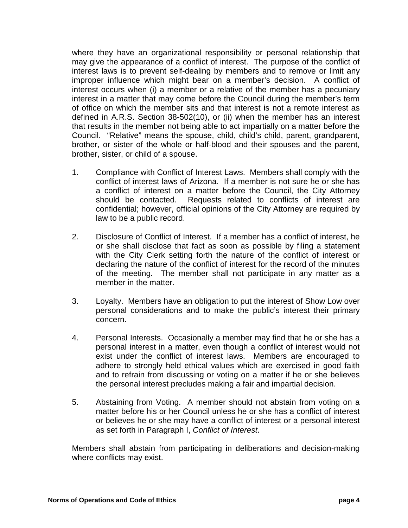where they have an organizational responsibility or personal relationship that may give the appearance of a conflict of interest. The purpose of the conflict of interest laws is to prevent self-dealing by members and to remove or limit any improper influence which might bear on a member's decision. A conflict of interest occurs when (i) a member or a relative of the member has a pecuniary interest in a matter that may come before the Council during the member's term of office on which the member sits and that interest is not a remote interest as defined in A.R.S. Section 38-502(10), or (ii) when the member has an interest that results in the member not being able to act impartially on a matter before the Council. "Relative" means the spouse, child, child's child, parent, grandparent, brother, or sister of the whole or half-blood and their spouses and the parent, brother, sister, or child of a spouse.

- 1. Compliance with Conflict of Interest Laws. Members shall comply with the conflict of interest laws of Arizona. If a member is not sure he or she has a conflict of interest on a matter before the Council, the City Attorney should be contacted. Requests related to conflicts of interest are confidential; however, official opinions of the City Attorney are required by law to be a public record.
- 2. Disclosure of Conflict of Interest. If a member has a conflict of interest, he or she shall disclose that fact as soon as possible by filing a statement with the City Clerk setting forth the nature of the conflict of interest or declaring the nature of the conflict of interest for the record of the minutes of the meeting. The member shall not participate in any matter as a member in the matter.
- 3. Loyalty. Members have an obligation to put the interest of Show Low over personal considerations and to make the public's interest their primary concern.
- 4. Personal Interests. Occasionally a member may find that he or she has a personal interest in a matter, even though a conflict of interest would not exist under the conflict of interest laws. Members are encouraged to adhere to strongly held ethical values which are exercised in good faith and to refrain from discussing or voting on a matter if he or she believes the personal interest precludes making a fair and impartial decision.
- 5. Abstaining from Voting. A member should not abstain from voting on a matter before his or her Council unless he or she has a conflict of interest or believes he or she may have a conflict of interest or a personal interest as set forth in Paragraph I, *Conflict of Interest*.

Members shall abstain from participating in deliberations and decision-making where conflicts may exist.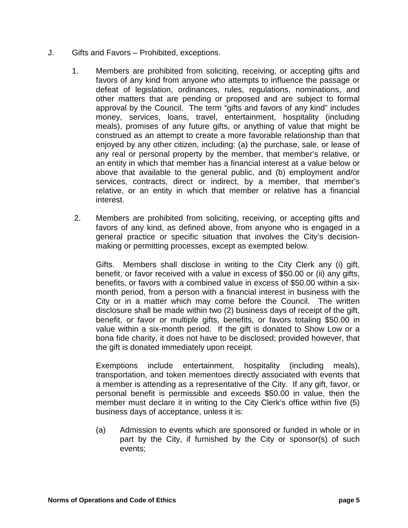- J. Gifts and Favors Prohibited, exceptions.
	- 1. Members are prohibited from soliciting, receiving, or accepting gifts and favors of any kind from anyone who attempts to influence the passage or defeat of legislation, ordinances, rules, regulations, nominations, and other matters that are pending or proposed and are subject to formal approval by the Council. The term "gifts and favors of any kind" includes money, services, loans, travel, entertainment, hospitality (including meals), promises of any future gifts, or anything of value that might be construed as an attempt to create a more favorable relationship than that enjoyed by any other citizen, including: (a) the purchase, sale, or lease of any real or personal property by the member, that member's relative, or an entity in which that member has a financial interest at a value below or above that available to the general public, and (b) employment and/or services, contracts, direct or indirect, by a member, that member's relative, or an entity in which that member or relative has a financial interest.
	- 2. Members are prohibited from soliciting, receiving, or accepting gifts and favors of any kind, as defined above, from anyone who is engaged in a general practice or specific situation that involves the City's decisionmaking or permitting processes, except as exempted below.

Gifts. Members shall disclose in writing to the City Clerk any (i) gift, benefit, or favor received with a value in excess of \$50.00 or (ii) any gifts, benefits, or favors with a combined value in excess of \$50.00 within a sixmonth period, from a person with a financial interest in business with the City or in a matter which may come before the Council. The written disclosure shall be made within two (2) business days of receipt of the gift, benefit, or favor or multiple gifts, benefits, or favors totaling \$50.00 in value within a six-month period. If the gift is donated to Show Low or a bona fide charity, it does not have to be disclosed; provided however, that the gift is donated immediately upon receipt.

Exemptions include entertainment, hospitality (including meals), transportation, and token mementoes directly associated with events that a member is attending as a representative of the City. If any gift, favor, or personal benefit is permissible and exceeds \$50.00 in value, then the member must declare it in writing to the City Clerk's office within five (5) business days of acceptance, unless it is:

(a) Admission to events which are sponsored or funded in whole or in part by the City, if furnished by the City or sponsor(s) of such events;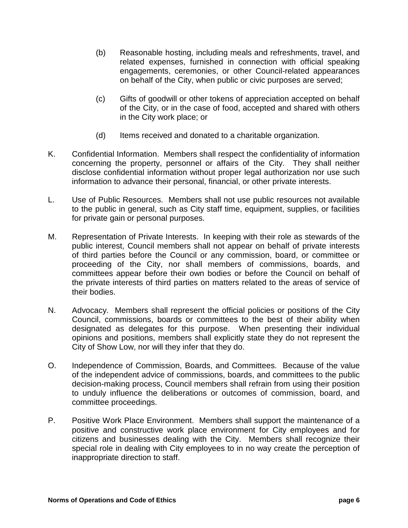- (b) Reasonable hosting, including meals and refreshments, travel, and related expenses, furnished in connection with official speaking engagements, ceremonies, or other Council-related appearances on behalf of the City, when public or civic purposes are served;
- (c) Gifts of goodwill or other tokens of appreciation accepted on behalf of the City, or in the case of food, accepted and shared with others in the City work place; or
- (d) Items received and donated to a charitable organization.
- K. Confidential Information. Members shall respect the confidentiality of information concerning the property, personnel or affairs of the City. They shall neither disclose confidential information without proper legal authorization nor use such information to advance their personal, financial, or other private interests.
- L. Use of Public Resources. Members shall not use public resources not available to the public in general, such as City staff time, equipment, supplies, or facilities for private gain or personal purposes.
- M. Representation of Private Interests. In keeping with their role as stewards of the public interest, Council members shall not appear on behalf of private interests of third parties before the Council or any commission, board, or committee or proceeding of the City, nor shall members of commissions, boards, and committees appear before their own bodies or before the Council on behalf of the private interests of third parties on matters related to the areas of service of their bodies.
- N. Advocacy. Members shall represent the official policies or positions of the City Council, commissions, boards or committees to the best of their ability when designated as delegates for this purpose. When presenting their individual opinions and positions, members shall explicitly state they do not represent the City of Show Low, nor will they infer that they do.
- O. Independence of Commission, Boards, and Committees. Because of the value of the independent advice of commissions, boards, and committees to the public decision-making process, Council members shall refrain from using their position to unduly influence the deliberations or outcomes of commission, board, and committee proceedings.
- P. Positive Work Place Environment. Members shall support the maintenance of a positive and constructive work place environment for City employees and for citizens and businesses dealing with the City. Members shall recognize their special role in dealing with City employees to in no way create the perception of inappropriate direction to staff.